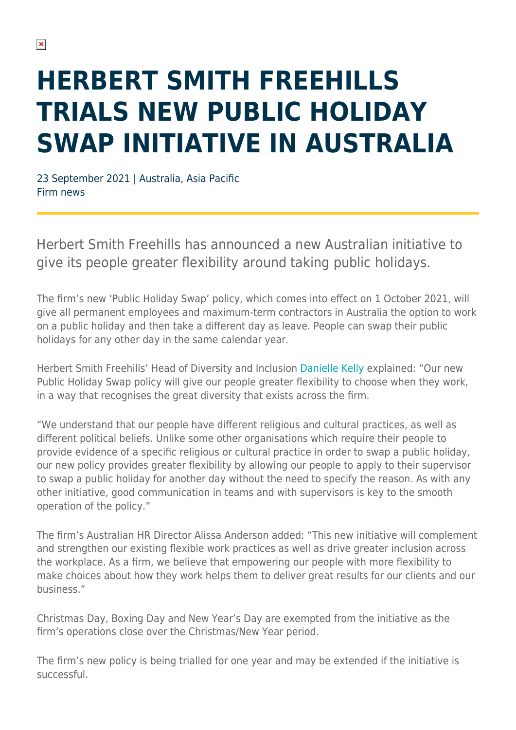## **HERBERT SMITH FREEHILLS TRIALS NEW PUBLIC HOLIDAY SWAP INITIATIVE IN AUSTRALIA**

23 September 2021 | Australia, Asia Pacific Firm news

Herbert Smith Freehills has announced a new Australian initiative to give its people greater flexibility around taking public holidays.

The firm's new 'Public Holiday Swap' policy, which comes into effect on 1 October 2021, will give all permanent employees and maximum-term contractors in Australia the option to work on a public holiday and then take a different day as leave. People can swap their public holidays for any other day in the same calendar year.

Herbert Smith Freehills' Head of Diversity and Inclusion [Danielle Kelly](https://www.herbertsmithfreehills.com/our-people/danielle-kelly) explained: "Our new Public Holiday Swap policy will give our people greater flexibility to choose when they work, in a way that recognises the great diversity that exists across the firm.

"We understand that our people have different religious and cultural practices, as well as different political beliefs. Unlike some other organisations which require their people to provide evidence of a specific religious or cultural practice in order to swap a public holiday, our new policy provides greater flexibility by allowing our people to apply to their supervisor to swap a public holiday for another day without the need to specify the reason. As with any other initiative, good communication in teams and with supervisors is key to the smooth operation of the policy."

The firm's Australian HR Director Alissa Anderson added: "This new initiative will complement and strengthen our existing flexible work practices as well as drive greater inclusion across the workplace. As a firm, we believe that empowering our people with more flexibility to make choices about how they work helps them to deliver great results for our clients and our business."

Christmas Day, Boxing Day and New Year's Day are exempted from the initiative as the firm's operations close over the Christmas/New Year period.

The firm's new policy is being trialled for one year and may be extended if the initiative is successful.